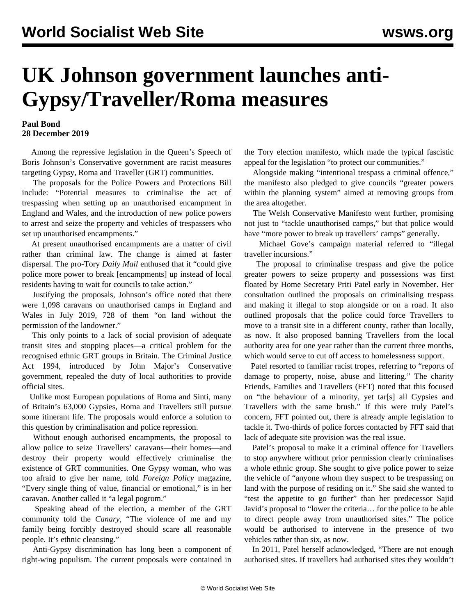## **UK Johnson government launches anti-Gypsy/Traveller/Roma measures**

## **Paul Bond 28 December 2019**

 Among the repressive legislation in the [Queen's Speech](/en/articles/2019/12/20/quee-d20.html) of Boris Johnson's Conservative government are racist measures targeting Gypsy, Roma and Traveller (GRT) communities.

 The proposals for the Police Powers and Protections Bill include: "Potential measures to criminalise the act of trespassing when setting up an unauthorised encampment in England and Wales, and the introduction of new police powers to arrest and seize the property and vehicles of trespassers who set up unauthorised encampments."

 At present unauthorised encampments are a matter of civil rather than criminal law. The change is aimed at faster dispersal. The pro-Tory *Daily Mail* enthused that it "could give police more power to break [encampments] up instead of local residents having to wait for councils to take action."

 Justifying the proposals, Johnson's office noted that there were 1,098 caravans on unauthorised camps in England and Wales in July 2019, 728 of them "on land without the permission of the landowner."

 This only points to a lack of social provision of adequate transit sites and stopping places—a critical problem for the recognised ethnic GRT groups in Britain. The Criminal Justice Act 1994, introduced by John Major's Conservative government, repealed the duty of local authorities to provide official sites.

 Unlike most European populations of Roma and Sinti, many of Britain's 63,000 Gypsies, Roma and Travellers still pursue some itinerant life. The proposals would enforce a solution to this question by criminalisation and police repression.

 Without enough authorised encampments, the proposal to allow police to seize Travellers' caravans—their homes—and destroy their property would effectively criminalise the existence of GRT communities. One Gypsy woman, who was too afraid to give her name, told *Foreign Policy* magazine, "Every single thing of value, financial or emotional," is in her caravan. Another called it "a legal pogrom."

 Speaking ahead of the election, a member of the GRT community told the *Canary*, "The violence of me and my family being forcibly destroyed should scare all reasonable people. It's ethnic cleansing."

 Anti-Gypsy discrimination has long been a component of right-wing populism. The current proposals were contained in the Tory election manifesto, which made the typical fascistic appeal for the legislation "to protect our communities."

 Alongside making "intentional trespass a criminal offence," the manifesto also pledged to give councils "greater powers within the planning system" aimed at removing groups from the area altogether.

 The Welsh Conservative Manifesto went further, promising not just to "tackle unauthorised camps," but that police would have "more power to break up travellers' camps" generally.

 Michael Gove's campaign material referred to "illegal traveller incursions."

 The proposal to criminalise trespass and give the police greater powers to seize property and possessions was first floated by Home Secretary Priti Patel early in November. Her consultation outlined the proposals on criminalising trespass and making it illegal to stop alongside or on a road. It also outlined proposals that the police could force Travellers to move to a transit site in a different county, rather than locally, as now. It also proposed banning Travellers from the local authority area for one year rather than the current three months, which would serve to cut off access to homelessness support.

 Patel resorted to familiar racist tropes, referring to "reports of damage to property, noise, abuse and littering." The charity Friends, Families and Travellers (FFT) noted that this focused on "the behaviour of a minority, yet tar[s] all Gypsies and Travellers with the same brush." If this were truly Patel's concern, FFT pointed out, there is already ample legislation to tackle it. Two-thirds of police forces contacted by FFT said that lack of adequate site provision was the real issue.

 Patel's proposal to make it a criminal offence for Travellers to stop anywhere without prior permission clearly criminalises a whole ethnic group. She sought to give police power to seize the vehicle of "anyone whom they suspect to be trespassing on land with the purpose of residing on it." She said she wanted to "test the appetite to go further" than her predecessor Sajid Javid's proposal to "lower the criteria… for the police to be able to direct people away from unauthorised sites." The police would be authorised to intervene in the presence of two vehicles rather than six, as now.

 In 2011, Patel herself acknowledged, "There are not enough authorised sites. If travellers had authorised sites they wouldn't